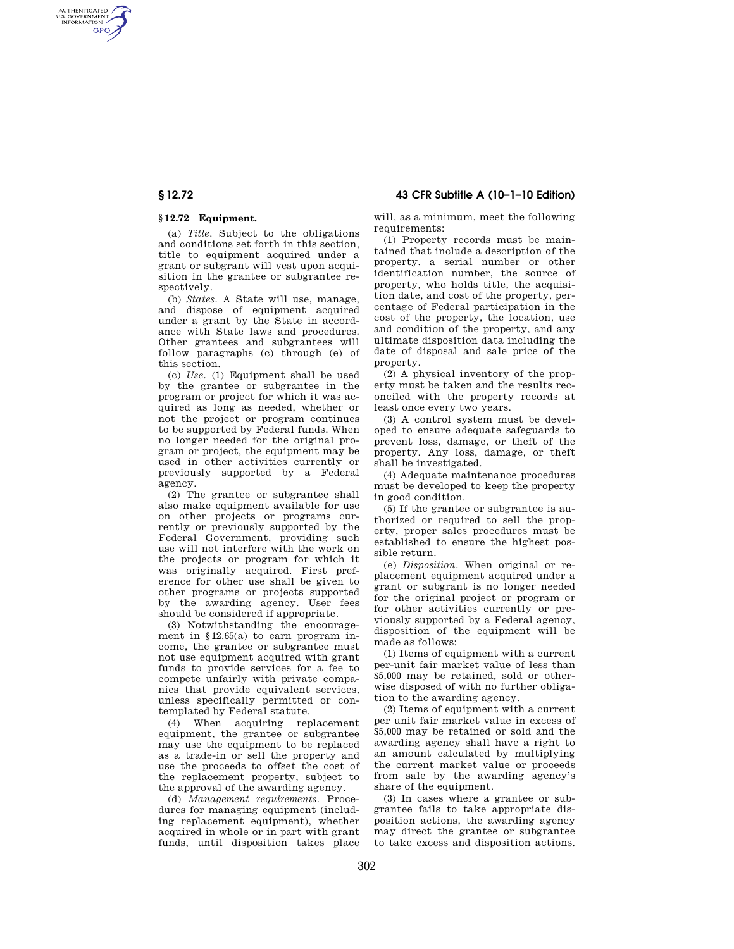# **§ 12.72 43 CFR Subtitle A (10–1–10 Edition)**

AUTHENTICATED<br>U.S. GOVERNMENT<br>INFORMATION **GPO** 

# **§ 12.72 Equipment.**

(a) *Title.* Subject to the obligations and conditions set forth in this section, title to equipment acquired under a grant or subgrant will vest upon acquisition in the grantee or subgrantee respectively.

(b) *States.* A State will use, manage, and dispose of equipment acquired under a grant by the State in accordance with State laws and procedures. Other grantees and subgrantees will follow paragraphs (c) through (e) of this section.

(c) *Use.* (1) Equipment shall be used by the grantee or subgrantee in the program or project for which it was acquired as long as needed, whether or not the project or program continues to be supported by Federal funds. When no longer needed for the original program or project, the equipment may be used in other activities currently or previously supported by a Federal agency.

(2) The grantee or subgrantee shall also make equipment available for use on other projects or programs currently or previously supported by the Federal Government, providing such use will not interfere with the work on the projects or program for which it was originally acquired. First preference for other use shall be given to other programs or projects supported by the awarding agency. User fees should be considered if appropriate.

(3) Notwithstanding the encouragement in §12.65(a) to earn program income, the grantee or subgrantee must not use equipment acquired with grant funds to provide services for a fee to compete unfairly with private companies that provide equivalent services, unless specifically permitted or contemplated by Federal statute.

(4) When acquiring replacement equipment, the grantee or subgrantee may use the equipment to be replaced as a trade-in or sell the property and use the proceeds to offset the cost of the replacement property, subject to the approval of the awarding agency.

(d) *Management requirements.* Procedures for managing equipment (including replacement equipment), whether acquired in whole or in part with grant funds, until disposition takes place will, as a minimum, meet the following requirements:

(1) Property records must be maintained that include a description of the property, a serial number or other identification number, the source of property, who holds title, the acquisition date, and cost of the property, percentage of Federal participation in the cost of the property, the location, use and condition of the property, and any ultimate disposition data including the date of disposal and sale price of the property.

(2) A physical inventory of the property must be taken and the results reconciled with the property records at least once every two years.

(3) A control system must be developed to ensure adequate safeguards to prevent loss, damage, or theft of the property. Any loss, damage, or theft shall be investigated.

(4) Adequate maintenance procedures must be developed to keep the property in good condition.

(5) If the grantee or subgrantee is authorized or required to sell the property, proper sales procedures must be established to ensure the highest possible return.

(e) *Disposition.* When original or replacement equipment acquired under a grant or subgrant is no longer needed for the original project or program or for other activities currently or previously supported by a Federal agency, disposition of the equipment will be made as follows:

(1) Items of equipment with a current per-unit fair market value of less than \$5,000 may be retained, sold or otherwise disposed of with no further obligation to the awarding agency.

(2) Items of equipment with a current per unit fair market value in excess of \$5,000 may be retained or sold and the awarding agency shall have a right to an amount calculated by multiplying the current market value or proceeds from sale by the awarding agency's share of the equipment.

(3) In cases where a grantee or subgrantee fails to take appropriate disposition actions, the awarding agency may direct the grantee or subgrantee to take excess and disposition actions.